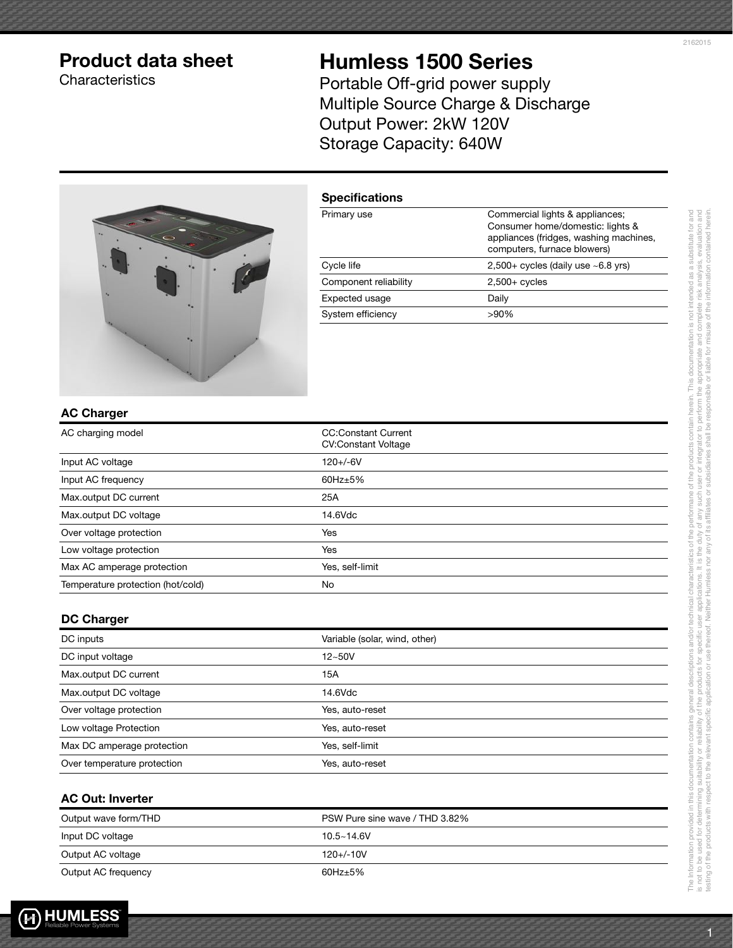## Product data sheet

**Characteristics** 

# Humless 1500 Series

Portable Off-grid power supply Multiple Source Charge & Discharge Output Power: 2kW 120V Storage Capacity: 640W



| <b>Specifications</b> |                                                                                                                                              |
|-----------------------|----------------------------------------------------------------------------------------------------------------------------------------------|
| Primary use           | Commercial lights & appliances;<br>Consumer home/domestic: lights &<br>appliances (fridges, washing machines,<br>computers, furnace blowers) |
| Cycle life            | $2,500+$ cycles (daily use $~6.8$ yrs)                                                                                                       |
| Component reliability | $2,500+$ cycles                                                                                                                              |
| Expected usage        | Daily                                                                                                                                        |
| System efficiency     | $>90\%$                                                                                                                                      |

### AC Charger

| AC charging model                 | <b>CC:Constant Current</b><br><b>CV:Constant Voltage</b> |
|-----------------------------------|----------------------------------------------------------|
| Input AC voltage                  | $120 + (-6)$                                             |
| Input AC frequency                | $60$ Hz $\pm$ 5%                                         |
| Max.output DC current             | 25A                                                      |
| Max.output DC voltage             | 14.6Vdc                                                  |
| Over voltage protection           | Yes                                                      |
| Low voltage protection            | Yes                                                      |
| Max AC amperage protection        | Yes, self-limit                                          |
| Temperature protection (hot/cold) | No                                                       |

#### DC Charger

| DC inputs                   | Variable (solar, wind, other) |
|-----------------------------|-------------------------------|
| DC input voltage            | $12 - 50V$                    |
| Max.output DC current       | 15A                           |
| Max.output DC voltage       | 14.6Vdc                       |
| Over voltage protection     | Yes, auto-reset               |
| Low voltage Protection      | Yes, auto-reset               |
| Max DC amperage protection  | Yes, self-limit               |
| Over temperature protection | Yes, auto-reset               |

## AC Out: Inverter

| Output wave form/THD | PSW Pure sine wave / THD 3.82% |
|----------------------|--------------------------------|
| Input DC voltage     | $10.5 - 14.6V$                 |
| Output AC voltage    | $120 + (-10)$                  |
| Output AC frequency  | $60$ Hz $\pm$ 5%               |

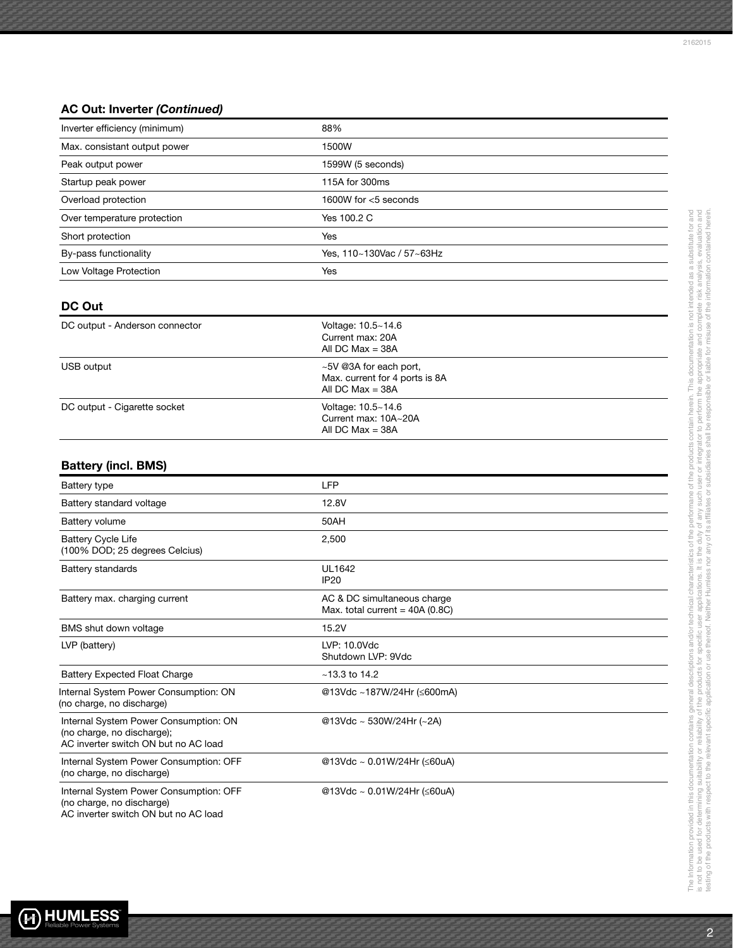## AC Out: Inverter (Continued)

| Inverter efficiency (minimum) | 88%                       |
|-------------------------------|---------------------------|
| Max. consistant output power  | 1500W                     |
| Peak output power             | 1599W (5 seconds)         |
| Startup peak power            | 115A for 300ms            |
| Overload protection           | 1600W for $<$ 5 seconds   |
| Over temperature protection   | Yes 100.2 C               |
| Short protection              | Yes                       |
| By-pass functionality         | Yes, 110~130Vac / 57~63Hz |
| Low Voltage Protection        | Yes                       |
|                               |                           |
|                               |                           |

### DC Out

| DC output - Anderson connector | Voltage: 10.5~14.6<br>Current max: 20A<br>All DC Max $=$ 38A                   |  |
|--------------------------------|--------------------------------------------------------------------------------|--|
| USB output                     | ~5V @3A for each port,<br>Max. current for 4 ports is 8A<br>All DC Max = $38A$ |  |
| DC output - Cigarette socket   | Voltage: 10.5~14.6<br>Current max: 10A~20A<br>All DC Max = $38A$               |  |

## Battery (incl. BMS)

| Battery type                                                                                                | <b>LFP</b>                                                      |
|-------------------------------------------------------------------------------------------------------------|-----------------------------------------------------------------|
| Battery standard voltage                                                                                    | 12.8V                                                           |
| Battery volume                                                                                              | 50AH                                                            |
| <b>Battery Cycle Life</b><br>(100% DOD; 25 degrees Celcius)                                                 | 2,500                                                           |
| <b>Battery standards</b>                                                                                    | UL1642<br><b>IP20</b>                                           |
| Battery max. charging current                                                                               | AC & DC simultaneous charge<br>Max. total current = $40A(0.8C)$ |
| BMS shut down voltage                                                                                       | 15.2V                                                           |
| LVP (battery)                                                                                               | LVP: 10.0Vdc<br>Shutdown LVP: 9Vdc                              |
| <b>Battery Expected Float Charge</b>                                                                        | $~13.3$ to 14.2                                                 |
| Internal System Power Consumption: ON<br>(no charge, no discharge)                                          | @13Vdc ~187W/24Hr (≤600mA)                                      |
| Internal System Power Consumption: ON<br>(no charge, no discharge);<br>AC inverter switch ON but no AC load | @13Vdc ~ 530W/24Hr (~2A)                                        |
| Internal System Power Consumption: OFF<br>(no charge, no discharge)                                         | @13Vdc ~ 0.01W/24Hr (≤60uA)                                     |
| Internal System Power Consumption: OFF<br>(no charge, no discharge)<br>AC inverter switch ON but no AC load | @13Vdc ~ 0.01W/24Hr (≤60uA)                                     |



The Information provided in this documentation contains general descriptions and/or technical characteristics of the performane of the products contain herein. This documentation is not intended as a substitute for and is not to be used for determining suitability of the products for specific user applications. It is the duty of any such user or integrator to perform the appropriate and complete risk analysis, evaluation and testing of the products with respect to the relevant specific application or use thereof. Neither Humless nor any of its affiliates or subsidiaries shall be responsible or liable for misuse of the information contained her